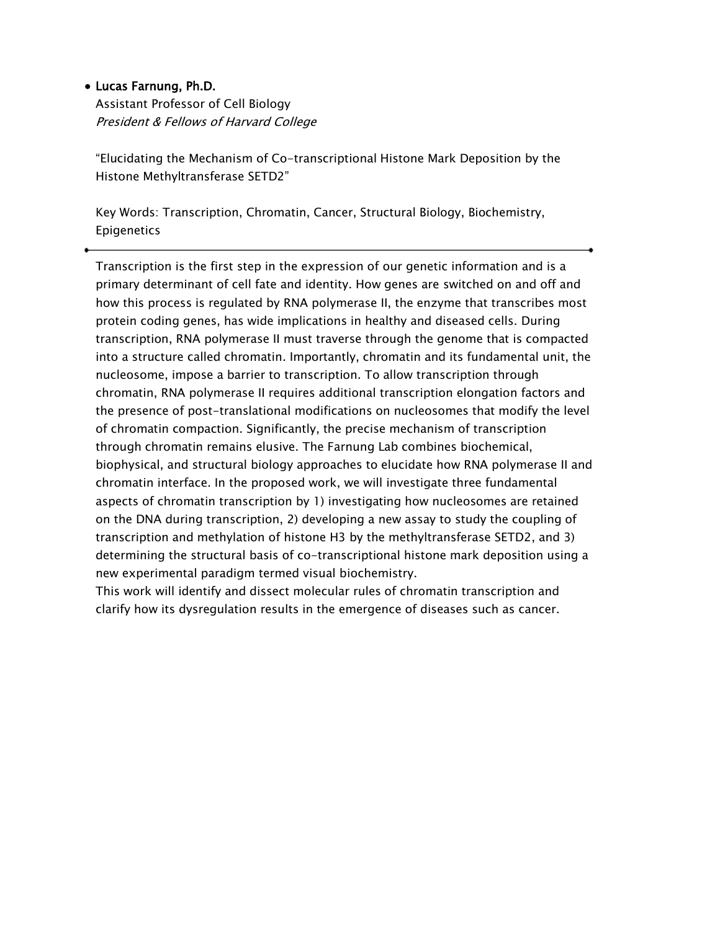### • Lucas Farnung, Ph.D.

Assistant Professor of Cell Biology President & Fellows of Harvard College

"Elucidating the Mechanism of Co-transcriptional Histone Mark Deposition by the Histone Methyltransferase SETD2"

Key Words: Transcription, Chromatin, Cancer, Structural Biology, Biochemistry, Epigenetics

Transcription is the first step in the expression of our genetic information and is a primary determinant of cell fate and identity. How genes are switched on and off and how this process is regulated by RNA polymerase II, the enzyme that transcribes most protein coding genes, has wide implications in healthy and diseased cells. During transcription, RNA polymerase II must traverse through the genome that is compacted into a structure called chromatin. Importantly, chromatin and its fundamental unit, the nucleosome, impose a barrier to transcription. To allow transcription through chromatin, RNA polymerase II requires additional transcription elongation factors and the presence of post-translational modifications on nucleosomes that modify the level of chromatin compaction. Significantly, the precise mechanism of transcription through chromatin remains elusive. The Farnung Lab combines biochemical, biophysical, and structural biology approaches to elucidate how RNA polymerase II and chromatin interface. In the proposed work, we will investigate three fundamental aspects of chromatin transcription by 1) investigating how nucleosomes are retained on the DNA during transcription, 2) developing a new assay to study the coupling of transcription and methylation of histone H3 by the methyltransferase SETD2, and 3) determining the structural basis of co-transcriptional histone mark deposition using a new experimental paradigm termed visual biochemistry.

This work will identify and dissect molecular rules of chromatin transcription and clarify how its dysregulation results in the emergence of diseases such as cancer.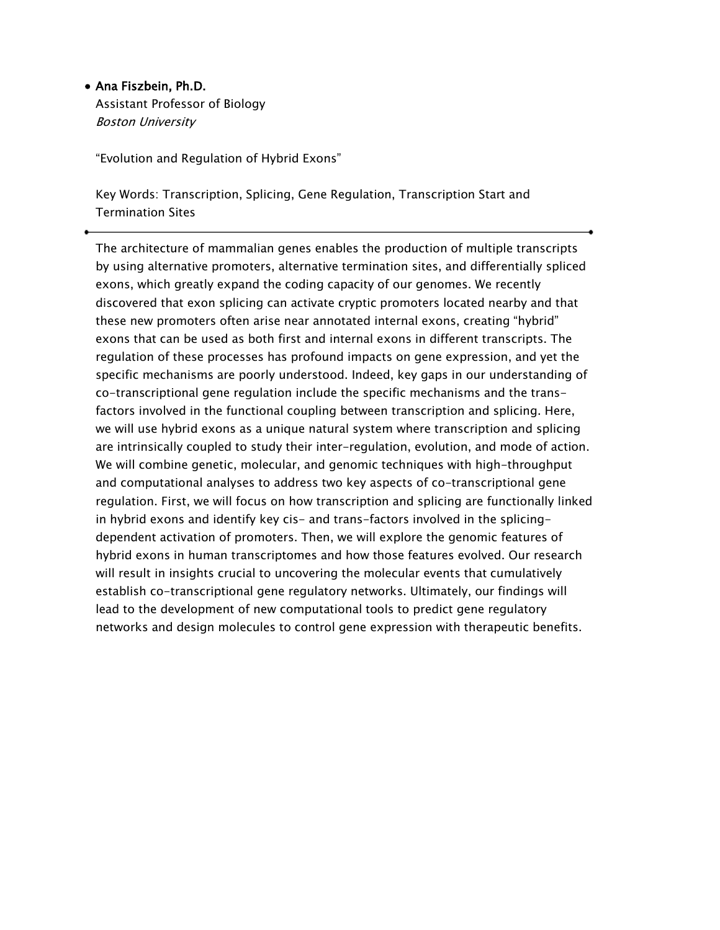### • Ana Fiszbein, Ph.D.

Assistant Professor of Biology Boston University

"Evolution and Regulation of Hybrid Exons"

Key Words: Transcription, Splicing, Gene Regulation, Transcription Start and Termination Sites

The architecture of mammalian genes enables the production of multiple transcripts by using alternative promoters, alternative termination sites, and differentially spliced exons, which greatly expand the coding capacity of our genomes. We recently discovered that exon splicing can activate cryptic promoters located nearby and that these new promoters often arise near annotated internal exons, creating "hybrid" exons that can be used as both first and internal exons in different transcripts. The regulation of these processes has profound impacts on gene expression, and yet the specific mechanisms are poorly understood. Indeed, key gaps in our understanding of co-transcriptional gene regulation include the specific mechanisms and the transfactors involved in the functional coupling between transcription and splicing. Here, we will use hybrid exons as a unique natural system where transcription and splicing are intrinsically coupled to study their inter-regulation, evolution, and mode of action. We will combine genetic, molecular, and genomic techniques with high-throughput and computational analyses to address two key aspects of co-transcriptional gene regulation. First, we will focus on how transcription and splicing are functionally linked in hybrid exons and identify key cis- and trans-factors involved in the splicingdependent activation of promoters. Then, we will explore the genomic features of hybrid exons in human transcriptomes and how those features evolved. Our research will result in insights crucial to uncovering the molecular events that cumulatively establish co-transcriptional gene regulatory networks. Ultimately, our findings will lead to the development of new computational tools to predict gene regulatory networks and design molecules to control gene expression with therapeutic benefits.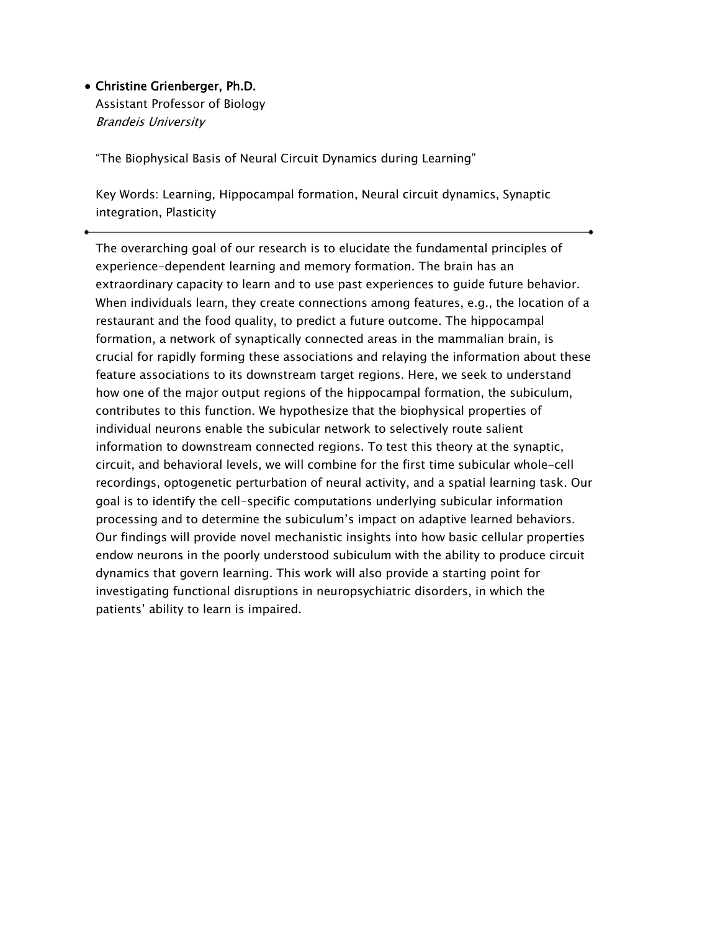# • Christine Grienberger, Ph.D.

Assistant Professor of Biology Brandeis University

"The Biophysical Basis of Neural Circuit Dynamics during Learning"

Key Words: Learning, Hippocampal formation, Neural circuit dynamics, Synaptic integration, Plasticity

The overarching goal of our research is to elucidate the fundamental principles of experience-dependent learning and memory formation. The brain has an extraordinary capacity to learn and to use past experiences to guide future behavior. When individuals learn, they create connections among features, e.g., the location of a restaurant and the food quality, to predict a future outcome. The hippocampal formation, a network of synaptically connected areas in the mammalian brain, is crucial for rapidly forming these associations and relaying the information about these feature associations to its downstream target regions. Here, we seek to understand how one of the major output regions of the hippocampal formation, the subiculum, contributes to this function. We hypothesize that the biophysical properties of individual neurons enable the subicular network to selectively route salient information to downstream connected regions. To test this theory at the synaptic, circuit, and behavioral levels, we will combine for the first time subicular whole-cell recordings, optogenetic perturbation of neural activity, and a spatial learning task. Our goal is to identify the cell-specific computations underlying subicular information processing and to determine the subiculum's impact on adaptive learned behaviors. Our findings will provide novel mechanistic insights into how basic cellular properties endow neurons in the poorly understood subiculum with the ability to produce circuit dynamics that govern learning. This work will also provide a starting point for investigating functional disruptions in neuropsychiatric disorders, in which the patients' ability to learn is impaired.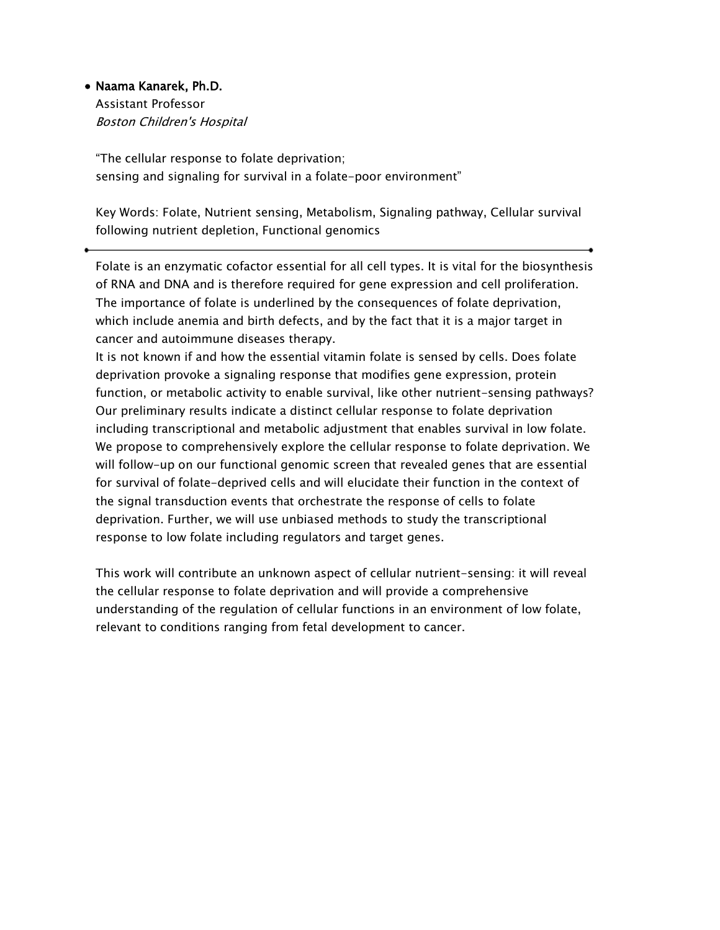### • Naama Kanarek, Ph.D.

Assistant Professor Boston Children's Hospital

"The cellular response to folate deprivation; sensing and signaling for survival in a folate-poor environment"

Key Words: Folate, Nutrient sensing, Metabolism, Signaling pathway, Cellular survival following nutrient depletion, Functional genomics

Folate is an enzymatic cofactor essential for all cell types. It is vital for the biosynthesis of RNA and DNA and is therefore required for gene expression and cell proliferation. The importance of folate is underlined by the consequences of folate deprivation, which include anemia and birth defects, and by the fact that it is a major target in cancer and autoimmune diseases therapy.

It is not known if and how the essential vitamin folate is sensed by cells. Does folate deprivation provoke a signaling response that modifies gene expression, protein function, or metabolic activity to enable survival, like other nutrient-sensing pathways? Our preliminary results indicate a distinct cellular response to folate deprivation including transcriptional and metabolic adjustment that enables survival in low folate. We propose to comprehensively explore the cellular response to folate deprivation. We will follow-up on our functional genomic screen that revealed genes that are essential for survival of folate-deprived cells and will elucidate their function in the context of the signal transduction events that orchestrate the response of cells to folate deprivation. Further, we will use unbiased methods to study the transcriptional response to low folate including regulators and target genes.

This work will contribute an unknown aspect of cellular nutrient-sensing: it will reveal the cellular response to folate deprivation and will provide a comprehensive understanding of the regulation of cellular functions in an environment of low folate, relevant to conditions ranging from fetal development to cancer.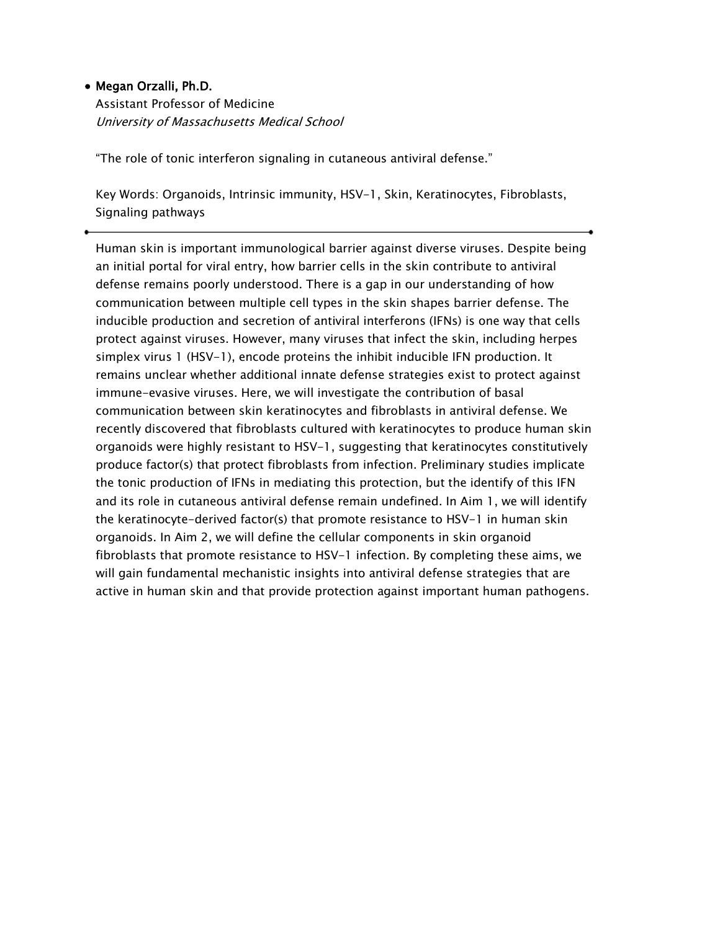# • Megan Orzalli, Ph.D.

Assistant Professor of Medicine University of Massachusetts Medical School

"The role of tonic interferon signaling in cutaneous antiviral defense."

Key Words: Organoids, Intrinsic immunity, HSV-1, Skin, Keratinocytes, Fibroblasts, Signaling pathways

Human skin is important immunological barrier against diverse viruses. Despite being an initial portal for viral entry, how barrier cells in the skin contribute to antiviral defense remains poorly understood. There is a gap in our understanding of how communication between multiple cell types in the skin shapes barrier defense. The inducible production and secretion of antiviral interferons (IFNs) is one way that cells protect against viruses. However, many viruses that infect the skin, including herpes simplex virus 1 (HSV-1), encode proteins the inhibit inducible IFN production. It remains unclear whether additional innate defense strategies exist to protect against immune-evasive viruses. Here, we will investigate the contribution of basal communication between skin keratinocytes and fibroblasts in antiviral defense. We recently discovered that fibroblasts cultured with keratinocytes to produce human skin organoids were highly resistant to HSV-1, suggesting that keratinocytes constitutively produce factor(s) that protect fibroblasts from infection. Preliminary studies implicate the tonic production of IFNs in mediating this protection, but the identify of this IFN and its role in cutaneous antiviral defense remain undefined. In Aim 1, we will identify the keratinocyte-derived factor(s) that promote resistance to HSV-1 in human skin organoids. In Aim 2, we will define the cellular components in skin organoid fibroblasts that promote resistance to HSV-1 infection. By completing these aims, we will gain fundamental mechanistic insights into antiviral defense strategies that are active in human skin and that provide protection against important human pathogens.